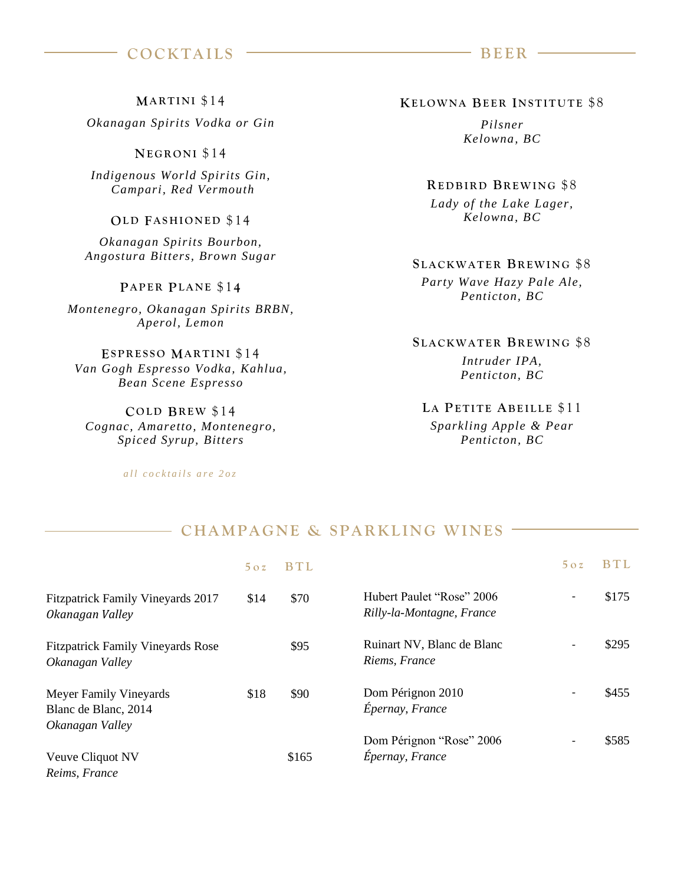# **COCKTAILS BEER** –

**MARTINI** \$14

*Okanagan Spirits Vodka or Gin*

**NE G R O N I** \$ 14

*Indigenous World Spirits Gin, Campari, Red Vermouth*

### **OLD FASHIONED \$14**

*Okanagan Spirits Bourbon, Angostura Bitters, Brown Sugar*

#### **PA P E R PL A N E** \$1 **4**

*Montenegro, Okanagan Spirits BRBN, Aperol, Lemon*

**ESPRESSO MARTINI \$14** *Van Gogh Espresso Vodka, Kahlua, Bean Scene Espresso*

**C O L D BR E W** \$ 14 *Cognac, Amaretto, Montenegro, Spiced Syrup, Bitters*

*all cocktails are 202* 

#### **KE L O W N A BEER IN S T I T U T E** \$8

*Pilsner Kelowna, BC* 

**RE D B I R D BR E W I N G** \$8 *Lady of the Lake Lager, Kelowna, BC* 

# **S L A C K W A T E R BR E W I N G** \$8 *Party Wave Hazy Pale Ale, Penticton, BC*

**S L A C K W A T E R BR E W I N G** \$8 *Intruder IPA, Penticton, BC* 

# LA PETITE ABEILLE \$11 *Sparkling Apple & Pear Penticton, BC*

# - CHAMPAGNE & SPARKLING WINES -

|                                                                   | 5oz  | BTI.  |                                                        | 5oz                      | BTI.  |
|-------------------------------------------------------------------|------|-------|--------------------------------------------------------|--------------------------|-------|
| <b>Fitzpatrick Family Vineyards 2017</b><br>Okanagan Valley       | \$14 | \$70  | Hubert Paulet "Rose" 2006<br>Rilly-la-Montagne, France | $\overline{\phantom{a}}$ | \$175 |
| <b>Fitzpatrick Family Vineyards Rose</b><br>Okanagan Valley       |      | \$95  | Ruinart NV, Blanc de Blanc<br>Riems, France            | $\overline{\phantom{a}}$ | \$295 |
| Meyer Family Vineyards<br>Blanc de Blanc, 2014<br>Okanagan Valley | \$18 | \$90  | Dom Pérignon 2010<br>Épernay, France                   |                          | \$455 |
| Veuve Cliquot NV<br>Reims, France                                 |      | \$165 | Dom Pérignon "Rose" 2006<br>Épernay, France            |                          | \$585 |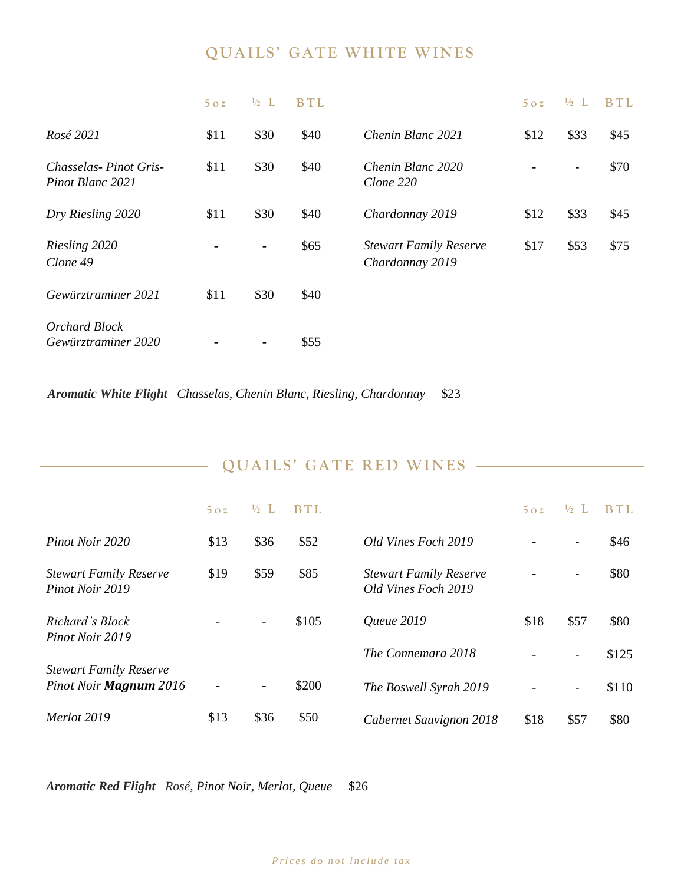# **QUAILS' GATE WHITE WINES**

|                                           | 5oz  | $\frac{1}{2}$ L | <b>BTL</b> |                                                  | 5oz  | $\frac{1}{2}$ L              | <b>BTL</b> |
|-------------------------------------------|------|-----------------|------------|--------------------------------------------------|------|------------------------------|------------|
| Rosé 2021                                 | \$11 | \$30            | \$40       | Chenin Blanc 2021                                | \$12 | \$33                         | \$45       |
| Chasselas-Pinot Gris-<br>Pinot Blanc 2021 | \$11 | \$30            | \$40       | Chenin Blanc 2020<br>Clone 220                   |      | $\qquad \qquad \blacksquare$ | \$70       |
| Dry Riesling 2020                         | \$11 | \$30            | \$40       | Chardonnay 2019                                  | \$12 | \$33                         | \$45       |
| Riesling 2020<br>Clone 49                 |      |                 | \$65       | <b>Stewart Family Reserve</b><br>Chardonnay 2019 | \$17 | \$53                         | \$75       |
| Gewürztraminer 2021                       | \$11 | \$30            | \$40       |                                                  |      |                              |            |
| Orchard Block<br>Gewürztraminer 2020      |      |                 | \$55       |                                                  |      |                              |            |

*Aromatic White Flight Chasselas, Chenin Blanc, Riesling, Chardonnay* \$23

| QUAILS' GATE RED WINES |  |
|------------------------|--|
|------------------------|--|

|                                                         | 5oz  | $\frac{1}{2}$ L | BTI.  |                                                      | $5 \Omega$ | $\frac{1}{2}$            | BTI.  |
|---------------------------------------------------------|------|-----------------|-------|------------------------------------------------------|------------|--------------------------|-------|
| Pinot Noir 2020                                         | \$13 | \$36            | \$52  | Old Vines Foch 2019                                  |            | $\overline{\phantom{a}}$ | \$46  |
| <b>Stewart Family Reserve</b><br>Pinot Noir 2019        | \$19 | \$59            | \$85  | <b>Stewart Family Reserve</b><br>Old Vines Foch 2019 |            |                          | \$80  |
| Richard's Block<br>Pinot Noir 2019                      |      |                 | \$105 | <i><u><b>Oueue 2019</b></u></i>                      | \$18       | \$57                     | \$80  |
|                                                         |      |                 |       | The Connemara 2018                                   |            | $\overline{\phantom{a}}$ | \$125 |
| <b>Stewart Family Reserve</b><br>Pinot Noir Magnum 2016 |      |                 | \$200 | The Boswell Syrah 2019                               |            | -                        | \$110 |
| Merlot 2019                                             | \$13 | \$36            | \$50  | Cabernet Sauvignon 2018                              | \$18       | \$57                     | \$80  |

*Aromatic Red Flight Rosé, Pinot Noir, Merlot, Queue* \$26